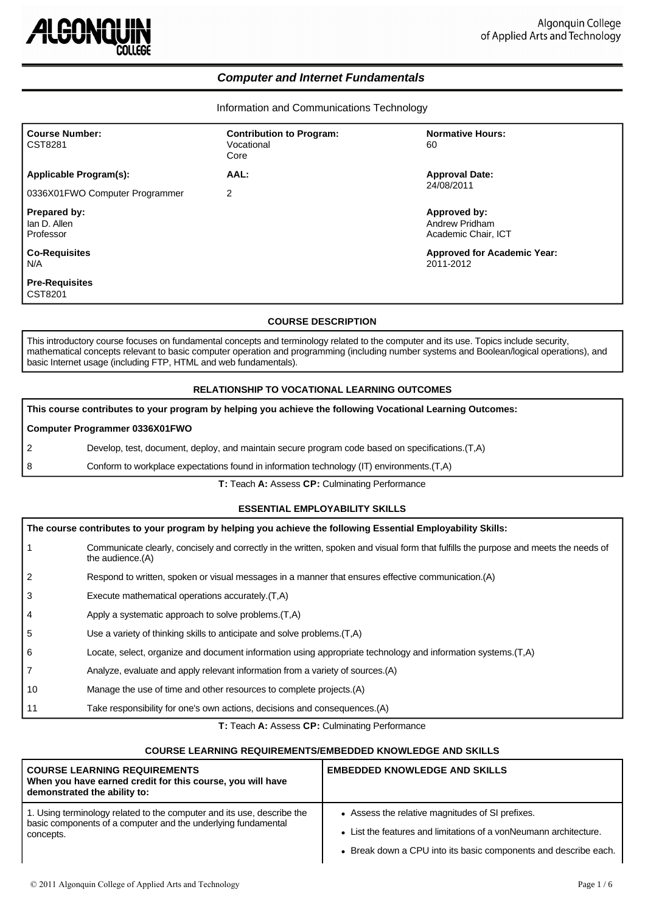

# *Computer and Internet Fundamentals*

Information and Communications Technology

| <b>Course Number:</b><br>CST8281          | <b>Contribution to Program:</b><br>Vocational<br>Core | <b>Normative Hours:</b><br>60                         |
|-------------------------------------------|-------------------------------------------------------|-------------------------------------------------------|
| Applicable Program(s):                    | AAL:                                                  | <b>Approval Date:</b>                                 |
| 0336X01FWO Computer Programmer            | 2                                                     | 24/08/2011                                            |
| Prepared by:<br>lan D. Allen<br>Professor |                                                       | Approved by:<br>Andrew Pridham<br>Academic Chair, ICT |
| <b>Co-Requisites</b><br>N/A               |                                                       | <b>Approved for Academic Year:</b><br>2011-2012       |
| <b>Pre-Requisites</b><br>CST8201          |                                                       |                                                       |

## **COURSE DESCRIPTION**

This introductory course focuses on fundamental concepts and terminology related to the computer and its use. Topics include security, mathematical concepts relevant to basic computer operation and programming (including number systems and Boolean/logical operations), and basic Internet usage (including FTP, HTML and web fundamentals).

## **RELATIONSHIP TO VOCATIONAL LEARNING OUTCOMES**

| This course contributes to your program by helping you achieve the following Vocational Learning Outcomes: |                                                                                                  |  |
|------------------------------------------------------------------------------------------------------------|--------------------------------------------------------------------------------------------------|--|
| <b>Computer Programmer 0336X01FWO</b>                                                                      |                                                                                                  |  |
| 2                                                                                                          | Develop, test, document, deploy, and maintain secure program code based on specifications. (T.A) |  |
| 8                                                                                                          | Conform to workplace expectations found in information technology (IT) environments. (T,A)       |  |

**T:** Teach **A:** Assess **CP:** Culminating Performance

# **ESSENTIAL EMPLOYABILITY SKILLS**

| The course contributes to your program by helping you achieve the following Essential Employability Skills: |                                                                                                                                                          |  |  |
|-------------------------------------------------------------------------------------------------------------|----------------------------------------------------------------------------------------------------------------------------------------------------------|--|--|
| $\mathbf{1}$                                                                                                | Communicate clearly, concisely and correctly in the written, spoken and visual form that fulfills the purpose and meets the needs of<br>the audience.(A) |  |  |
| 2                                                                                                           | Respond to written, spoken or visual messages in a manner that ensures effective communication. (A)                                                      |  |  |
| 3                                                                                                           | Execute mathematical operations accurately. (T,A)                                                                                                        |  |  |
| $\overline{4}$                                                                                              | Apply a systematic approach to solve problems. (T,A)                                                                                                     |  |  |
| 5                                                                                                           | Use a variety of thinking skills to anticipate and solve problems. (T.A)                                                                                 |  |  |
| 6                                                                                                           | Locate, select, organize and document information using appropriate technology and information systems. (T,A)                                            |  |  |
| $\overline{7}$                                                                                              | Analyze, evaluate and apply relevant information from a variety of sources. (A)                                                                          |  |  |
| 10                                                                                                          | Manage the use of time and other resources to complete projects. (A)                                                                                     |  |  |
| 11                                                                                                          | Take responsibility for one's own actions, decisions and consequences. (A)                                                                               |  |  |

**T:** Teach **A:** Assess **CP:** Culminating Performance

### **COURSE LEARNING REQUIREMENTS/EMBEDDED KNOWLEDGE AND SKILLS**

| <b>COURSE LEARNING REQUIREMENTS</b><br>When you have earned credit for this course, you will have<br>demonstrated the ability to: | <b>EMBEDDED KNOWLEDGE AND SKILLS</b>                              |
|-----------------------------------------------------------------------------------------------------------------------------------|-------------------------------------------------------------------|
| 1. Using terminology related to the computer and its use, describe the                                                            | • Assess the relative magnitudes of SI prefixes.                  |
| basic components of a computer and the underlying fundamental                                                                     | • List the features and limitations of a vonNeumann architecture. |
| concepts.                                                                                                                         | • Break down a CPU into its basic components and describe each.   |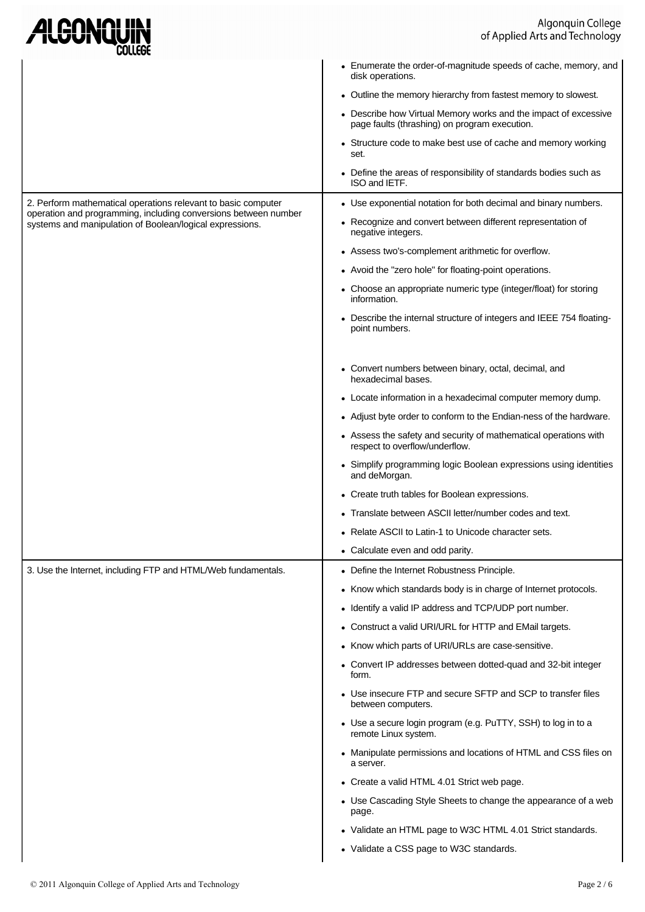| Algonquin College<br>of Applied Arts and Technology                                                                         |                                                                                                                  |
|-----------------------------------------------------------------------------------------------------------------------------|------------------------------------------------------------------------------------------------------------------|
|                                                                                                                             | • Enumerate the order-of-magnitude speeds of cache, memory, and<br>disk operations.                              |
|                                                                                                                             | • Outline the memory hierarchy from fastest memory to slowest.                                                   |
|                                                                                                                             | • Describe how Virtual Memory works and the impact of excessive<br>page faults (thrashing) on program execution. |
|                                                                                                                             | • Structure code to make best use of cache and memory working<br>set.                                            |
|                                                                                                                             | • Define the areas of responsibility of standards bodies such as<br>ISO and IETF.                                |
| 2. Perform mathematical operations relevant to basic computer                                                               | • Use exponential notation for both decimal and binary numbers.                                                  |
| operation and programming, including conversions between number<br>systems and manipulation of Boolean/logical expressions. | • Recognize and convert between different representation of<br>negative integers.                                |
|                                                                                                                             | • Assess two's-complement arithmetic for overflow.                                                               |
|                                                                                                                             | • Avoid the "zero hole" for floating-point operations.                                                           |
|                                                                                                                             | • Choose an appropriate numeric type (integer/float) for storing<br>information.                                 |
|                                                                                                                             | • Describe the internal structure of integers and IEEE 754 floating-<br>point numbers.                           |
|                                                                                                                             | • Convert numbers between binary, octal, decimal, and<br>hexadecimal bases.                                      |
|                                                                                                                             | • Locate information in a hexadecimal computer memory dump.                                                      |
|                                                                                                                             | • Adjust byte order to conform to the Endian-ness of the hardware.                                               |
|                                                                                                                             | • Assess the safety and security of mathematical operations with<br>respect to overflow/underflow.               |
|                                                                                                                             | • Simplify programming logic Boolean expressions using identities<br>and deMorgan.                               |
|                                                                                                                             | • Create truth tables for Boolean expressions.                                                                   |
|                                                                                                                             | • Translate between ASCII letter/number codes and text.                                                          |
|                                                                                                                             | • Relate ASCII to Latin-1 to Unicode character sets.                                                             |
|                                                                                                                             | • Calculate even and odd parity.                                                                                 |
| 3. Use the Internet, including FTP and HTML/Web fundamentals.                                                               | • Define the Internet Robustness Principle.                                                                      |
|                                                                                                                             | • Know which standards body is in charge of Internet protocols.                                                  |
|                                                                                                                             | • Identify a valid IP address and TCP/UDP port number.                                                           |
|                                                                                                                             | • Construct a valid URI/URL for HTTP and EMail targets.                                                          |
|                                                                                                                             | • Know which parts of URI/URLs are case-sensitive.                                                               |
|                                                                                                                             | • Convert IP addresses between dotted-quad and 32-bit integer<br>form.                                           |
|                                                                                                                             | • Use insecure FTP and secure SFTP and SCP to transfer files<br>between computers.                               |
|                                                                                                                             | • Use a secure login program (e.g. PuTTY, SSH) to log in to a<br>remote Linux system.                            |
|                                                                                                                             | • Manipulate permissions and locations of HTML and CSS files on<br>a server.                                     |
|                                                                                                                             | • Create a valid HTML 4.01 Strict web page.                                                                      |
|                                                                                                                             | • Use Cascading Style Sheets to change the appearance of a web<br>page.                                          |
|                                                                                                                             | • Validate an HTML page to W3C HTML 4.01 Strict standards.                                                       |
|                                                                                                                             | • Validate a CSS page to W3C standards.                                                                          |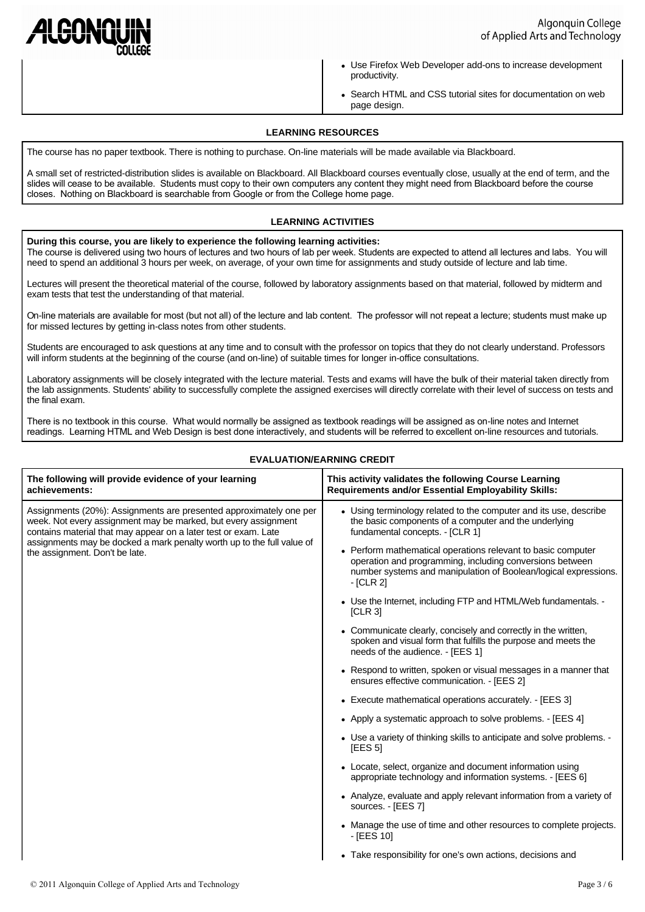

- Use Firefox Web Developer add-ons to increase development productivity.
- Search HTML and CSS tutorial sites for documentation on web page design.

# **LEARNING RESOURCES**

The course has no paper textbook. There is nothing to purchase. On-line materials will be made available via Blackboard.

A small set of restricted-distribution slides is available on Blackboard. All Blackboard courses eventually close, usually at the end of term, and the slides will cease to be available. Students must copy to their own computers any content they might need from Blackboard before the course closes. Nothing on Blackboard is searchable from Google or from the College home page.

# **LEARNING ACTIVITIES**

#### **During this course, you are likely to experience the following learning activities:**

The course is delivered using two hours of lectures and two hours of lab per week. Students are expected to attend all lectures and labs. You will need to spend an additional 3 hours per week, on average, of your own time for assignments and study outside of lecture and lab time.

Lectures will present the theoretical material of the course, followed by laboratory assignments based on that material, followed by midterm and exam tests that test the understanding of that material.

On-line materials are available for most (but not all) of the lecture and lab content. The professor will not repeat a lecture; students must make up for missed lectures by getting in-class notes from other students.

Students are encouraged to ask questions at any time and to consult with the professor on topics that they do not clearly understand. Professors will inform students at the beginning of the course (and on-line) of suitable times for longer in-office consultations.

Laboratory assignments will be closely integrated with the lecture material. Tests and exams will have the bulk of their material taken directly from the lab assignments. Students' ability to successfully complete the assigned exercises will directly correlate with their level of success on tests and the final exam.

There is no textbook in this course. What would normally be assigned as textbook readings will be assigned as on-line notes and Internet readings. Learning HTML and Web Design is best done interactively, and students will be referred to excellent on-line resources and tutorials.

| The following will provide evidence of your learning                                                                                                                                                                                                                                                                | This activity validates the following Course Learning                                                                                                                                                                                                                                                                                                                                                                                                                                                                                                                                                                                                                                                                                                                                                                                                                                                                                                                                                                                                                                                                                                                                                                                                                                                                                              |
|---------------------------------------------------------------------------------------------------------------------------------------------------------------------------------------------------------------------------------------------------------------------------------------------------------------------|----------------------------------------------------------------------------------------------------------------------------------------------------------------------------------------------------------------------------------------------------------------------------------------------------------------------------------------------------------------------------------------------------------------------------------------------------------------------------------------------------------------------------------------------------------------------------------------------------------------------------------------------------------------------------------------------------------------------------------------------------------------------------------------------------------------------------------------------------------------------------------------------------------------------------------------------------------------------------------------------------------------------------------------------------------------------------------------------------------------------------------------------------------------------------------------------------------------------------------------------------------------------------------------------------------------------------------------------------|
| achievements:                                                                                                                                                                                                                                                                                                       | <b>Requirements and/or Essential Employability Skills:</b>                                                                                                                                                                                                                                                                                                                                                                                                                                                                                                                                                                                                                                                                                                                                                                                                                                                                                                                                                                                                                                                                                                                                                                                                                                                                                         |
| Assignments (20%): Assignments are presented approximately one per<br>week. Not every assignment may be marked, but every assignment<br>contains material that may appear on a later test or exam. Late<br>assignments may be docked a mark penalty worth up to the full value of<br>the assignment. Don't be late. | • Using terminology related to the computer and its use, describe<br>the basic components of a computer and the underlying<br>fundamental concepts. - [CLR 1]<br>• Perform mathematical operations relevant to basic computer<br>operation and programming, including conversions between<br>number systems and manipulation of Boolean/logical expressions.<br>$-$ [CLR 2]<br>• Use the Internet, including FTP and HTML/Web fundamentals. -<br><b>ICLR 31</b><br>• Communicate clearly, concisely and correctly in the written,<br>spoken and visual form that fulfills the purpose and meets the<br>needs of the audience. - [EES 1]<br>• Respond to written, spoken or visual messages in a manner that<br>ensures effective communication. - [EES 2]<br>• Execute mathematical operations accurately. - [EES 3]<br>• Apply a systematic approach to solve problems. - [EES 4]<br>• Use a variety of thinking skills to anticipate and solve problems. -<br>[EES 5]<br>• Locate, select, organize and document information using<br>appropriate technology and information systems. - [EES 6]<br>• Analyze, evaluate and apply relevant information from a variety of<br>sources. - [EES 7]<br>• Manage the use of time and other resources to complete projects.<br>$-[EES 10]$<br>• Take responsibility for one's own actions, decisions and |

# **EVALUATION/EARNING CREDIT**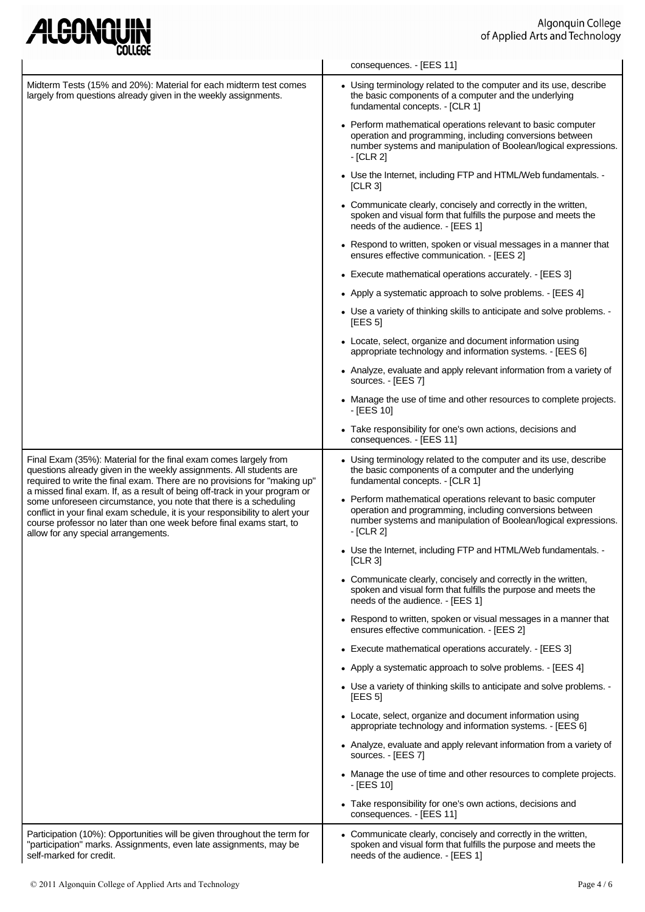| ALGONQUIN |
|-----------|
|-----------|

|                                                                                                                                                                                                                                                                                                                                                 | consequences. - [EES 11]                                                                                                                                                                                   |  |  |
|-------------------------------------------------------------------------------------------------------------------------------------------------------------------------------------------------------------------------------------------------------------------------------------------------------------------------------------------------|------------------------------------------------------------------------------------------------------------------------------------------------------------------------------------------------------------|--|--|
| Midterm Tests (15% and 20%): Material for each midterm test comes<br>largely from questions already given in the weekly assignments.                                                                                                                                                                                                            | • Using terminology related to the computer and its use, describe<br>the basic components of a computer and the underlying<br>fundamental concepts. - [CLR 1]                                              |  |  |
|                                                                                                                                                                                                                                                                                                                                                 | • Perform mathematical operations relevant to basic computer<br>operation and programming, including conversions between<br>number systems and manipulation of Boolean/logical expressions.<br>$-$ [CLR 2] |  |  |
|                                                                                                                                                                                                                                                                                                                                                 | • Use the Internet, including FTP and HTML/Web fundamentals. -<br>[CLR 3]                                                                                                                                  |  |  |
|                                                                                                                                                                                                                                                                                                                                                 | • Communicate clearly, concisely and correctly in the written,<br>spoken and visual form that fulfills the purpose and meets the<br>needs of the audience. - [EES 1]                                       |  |  |
|                                                                                                                                                                                                                                                                                                                                                 | • Respond to written, spoken or visual messages in a manner that<br>ensures effective communication. - [EES 2]                                                                                             |  |  |
|                                                                                                                                                                                                                                                                                                                                                 | • Execute mathematical operations accurately. - [EES 3]                                                                                                                                                    |  |  |
|                                                                                                                                                                                                                                                                                                                                                 | • Apply a systematic approach to solve problems. - [EES 4]                                                                                                                                                 |  |  |
|                                                                                                                                                                                                                                                                                                                                                 | • Use a variety of thinking skills to anticipate and solve problems. -<br><b>IEES 51</b>                                                                                                                   |  |  |
|                                                                                                                                                                                                                                                                                                                                                 | • Locate, select, organize and document information using<br>appropriate technology and information systems. - [EES 6]                                                                                     |  |  |
|                                                                                                                                                                                                                                                                                                                                                 | • Analyze, evaluate and apply relevant information from a variety of<br>sources. - [EES 7]                                                                                                                 |  |  |
|                                                                                                                                                                                                                                                                                                                                                 | • Manage the use of time and other resources to complete projects.<br>$-[EES 10]$                                                                                                                          |  |  |
|                                                                                                                                                                                                                                                                                                                                                 | • Take responsibility for one's own actions, decisions and<br>consequences. - [EES 11]                                                                                                                     |  |  |
| Final Exam (35%): Material for the final exam comes largely from<br>questions already given in the weekly assignments. All students are<br>required to write the final exam. There are no provisions for "making up"                                                                                                                            | • Using terminology related to the computer and its use, describe<br>the basic components of a computer and the underlying<br>fundamental concepts. - [CLR 1]                                              |  |  |
| a missed final exam. If, as a result of being off-track in your program or<br>some unforeseen circumstance, you note that there is a scheduling<br>conflict in your final exam schedule, it is your responsibility to alert your<br>course professor no later than one week before final exams start, to<br>allow for any special arrangements. | • Perform mathematical operations relevant to basic computer<br>operation and programming, including conversions between<br>number systems and manipulation of Boolean/logical expressions.<br>- [CLR 2]   |  |  |
|                                                                                                                                                                                                                                                                                                                                                 | • Use the Internet, including FTP and HTML/Web fundamentals. -<br>[CLR 3]                                                                                                                                  |  |  |
|                                                                                                                                                                                                                                                                                                                                                 | • Communicate clearly, concisely and correctly in the written,<br>spoken and visual form that fulfills the purpose and meets the<br>needs of the audience. - [EES 1]                                       |  |  |
|                                                                                                                                                                                                                                                                                                                                                 | • Respond to written, spoken or visual messages in a manner that<br>ensures effective communication. - [EES 2]                                                                                             |  |  |
|                                                                                                                                                                                                                                                                                                                                                 | • Execute mathematical operations accurately. - [EES 3]                                                                                                                                                    |  |  |
|                                                                                                                                                                                                                                                                                                                                                 | • Apply a systematic approach to solve problems. - [EES 4]                                                                                                                                                 |  |  |
|                                                                                                                                                                                                                                                                                                                                                 | • Use a variety of thinking skills to anticipate and solve problems. -<br>[EES 5]                                                                                                                          |  |  |
|                                                                                                                                                                                                                                                                                                                                                 | • Locate, select, organize and document information using<br>appropriate technology and information systems. - [EES 6]                                                                                     |  |  |
|                                                                                                                                                                                                                                                                                                                                                 | • Analyze, evaluate and apply relevant information from a variety of<br>sources. - [EES 7]                                                                                                                 |  |  |
|                                                                                                                                                                                                                                                                                                                                                 | • Manage the use of time and other resources to complete projects.<br>- [EES 10]                                                                                                                           |  |  |
|                                                                                                                                                                                                                                                                                                                                                 | • Take responsibility for one's own actions, decisions and<br>consequences. - [EES 11]                                                                                                                     |  |  |
| Participation (10%): Opportunities will be given throughout the term for<br>"participation" marks. Assignments, even late assignments, may be<br>self-marked for credit.                                                                                                                                                                        | • Communicate clearly, concisely and correctly in the written,<br>spoken and visual form that fulfills the purpose and meets the<br>needs of the audience. - [EES 1]                                       |  |  |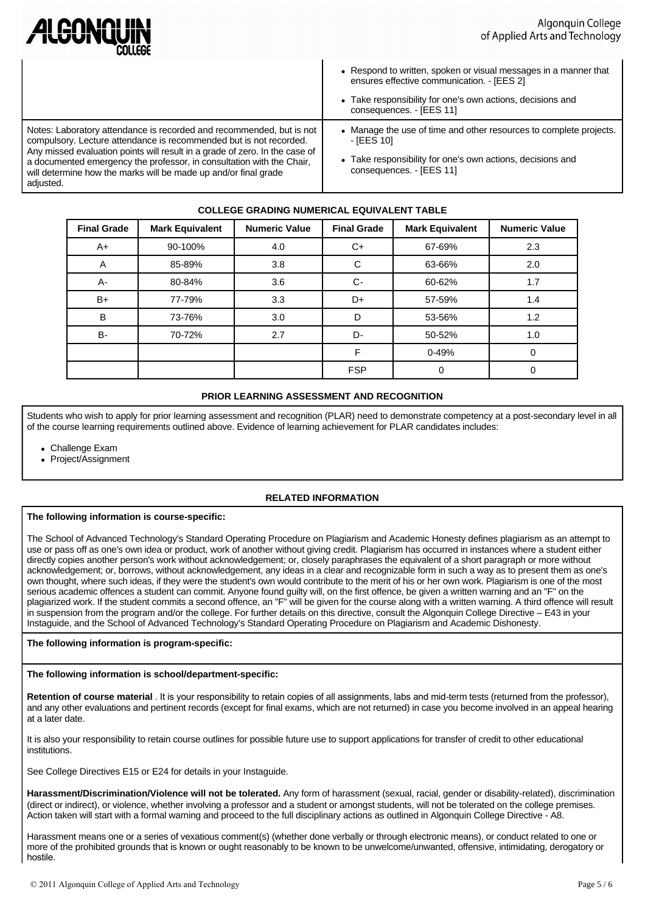| ALGONQUIN<br>COLLEGE                                                                                                                                                                                                                                                                                                                                                               | Algonquin College<br>of Applied Arts and Technology                                                                                                                                                      |  |
|------------------------------------------------------------------------------------------------------------------------------------------------------------------------------------------------------------------------------------------------------------------------------------------------------------------------------------------------------------------------------------|----------------------------------------------------------------------------------------------------------------------------------------------------------------------------------------------------------|--|
|                                                                                                                                                                                                                                                                                                                                                                                    | • Respond to written, spoken or visual messages in a manner that<br>ensures effective communication. - [EES 2]<br>• Take responsibility for one's own actions, decisions and<br>consequences. - [EES 11] |  |
| Notes: Laboratory attendance is recorded and recommended, but is not<br>compulsory. Lecture attendance is recommended but is not recorded.<br>Any missed evaluation points will result in a grade of zero. In the case of<br>a documented emergency the professor, in consultation with the Chair,<br>will determine how the marks will be made up and/or final grade<br>adjusted. | • Manage the use of time and other resources to complete projects.<br>- <b>IEES</b> 10<br>• Take responsibility for one's own actions, decisions and<br>consequences. - [EES 11]                         |  |

# **COLLEGE GRADING NUMERICAL EQUIVALENT TABLE**

| <b>Final Grade</b> | <b>Mark Equivalent</b> | <b>Numeric Value</b> | <b>Final Grade</b> | <b>Mark Equivalent</b> | <b>Numeric Value</b> |
|--------------------|------------------------|----------------------|--------------------|------------------------|----------------------|
| $A+$               | 90-100%                | 4.0                  | C+                 | 67-69%                 | 2.3                  |
| A                  | 85-89%                 | 3.8                  | C                  | 63-66%                 | 2.0                  |
| А-                 | 80-84%                 | 3.6                  | $C-$               | 60-62%                 | 1.7                  |
| $B+$               | 77-79%                 | 3.3                  | D+                 | 57-59%                 | 1.4                  |
| B                  | 73-76%                 | 3.0                  | D                  | 53-56%                 | 1.2                  |
| <b>B-</b>          | 70-72%                 | 2.7                  | D-                 | 50-52%                 | 1.0                  |
|                    |                        |                      | F                  | $0 - 49%$              |                      |
|                    |                        |                      | <b>FSP</b>         |                        |                      |

# **PRIOR LEARNING ASSESSMENT AND RECOGNITION**

Students who wish to apply for prior learning assessment and recognition (PLAR) need to demonstrate competency at a post-secondary level in all of the course learning requirements outlined above. Evidence of learning achievement for PLAR candidates includes:

• Challenge Exam

• Project/Assignment

# **RELATED INFORMATION**

#### **The following information is course-specific:**

The School of Advanced Technology's Standard Operating Procedure on Plagiarism and Academic Honesty defines plagiarism as an attempt to use or pass off as one's own idea or product, work of another without giving credit. Plagiarism has occurred in instances where a student either directly copies another person's work without acknowledgement; or, closely paraphrases the equivalent of a short paragraph or more without acknowledgement; or, borrows, without acknowledgement, any ideas in a clear and recognizable form in such a way as to present them as one's own thought, where such ideas, if they were the student's own would contribute to the merit of his or her own work. Plagiarism is one of the most serious academic offences a student can commit. Anyone found guilty will, on the first offence, be given a written warning and an "F" on the plagiarized work. If the student commits a second offence, an "F" will be given for the course along with a written warning. A third offence will result in suspension from the program and/or the college. For further details on this directive, consult the Algonquin College Directive – E43 in your Instaguide, and the School of Advanced Technology's Standard Operating Procedure on Plagiarism and Academic Dishonesty.

## **The following information is program-specific:**

## **The following information is school/department-specific:**

**Retention of course material** . It is your responsibility to retain copies of all assignments, labs and mid-term tests (returned from the professor), and any other evaluations and pertinent records (except for final exams, which are not returned) in case you become involved in an appeal hearing at a later date.

It is also your responsibility to retain course outlines for possible future use to support applications for transfer of credit to other educational institutions.

See College Directives E15 or E24 for details in your Instaguide.

**Harassment/Discrimination/Violence will not be tolerated.** Any form of harassment (sexual, racial, gender or disability-related), discrimination (direct or indirect), or violence, whether involving a professor and a student or amongst students, will not be tolerated on the college premises. Action taken will start with a formal warning and proceed to the full disciplinary actions as outlined in Algonquin College Directive - A8.

Harassment means one or a series of vexatious comment(s) (whether done verbally or through electronic means), or conduct related to one or more of the prohibited grounds that is known or ought reasonably to be known to be unwelcome/unwanted, offensive, intimidating, derogatory or hostile.